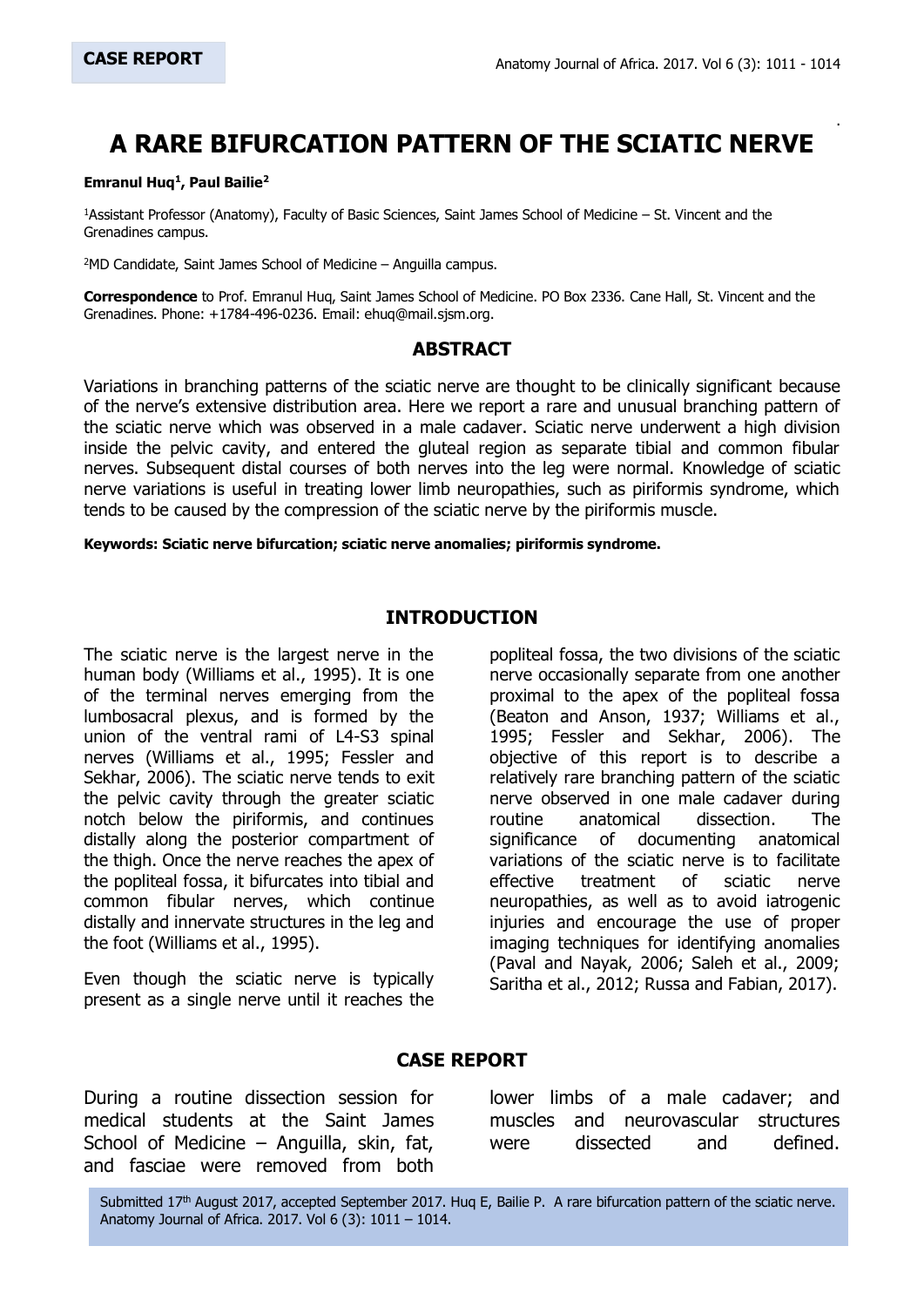.

# **A RARE BIFURCATION PATTERN OF THE SCIATIC NERVE**

#### **Emranul Huq<sup>1</sup> , Paul Bailie<sup>2</sup>**

<sup>1</sup>Assistant Professor (Anatomy), Faculty of Basic Sciences, Saint James School of Medicine – St. Vincent and the Grenadines campus.

<sup>2</sup>MD Candidate, Saint James School of Medicine – Anguilla campus.

**Correspondence** to Prof. Emranul Huq, Saint James School of Medicine. PO Box 2336. Cane Hall, St. Vincent and the Grenadines. Phone: +1784-496-0236. Email: ehuq@mail.sjsm.org.

#### **ABSTRACT**

Variations in branching patterns of the sciatic nerve are thought to be clinically significant because of the nerve's extensive distribution area. Here we report a rare and unusual branching pattern of the sciatic nerve which was observed in a male cadaver. Sciatic nerve underwent a high division inside the pelvic cavity, and entered the gluteal region as separate tibial and common fibular nerves. Subsequent distal courses of both nerves into the leg were normal. Knowledge of sciatic nerve variations is useful in treating lower limb neuropathies, such as piriformis syndrome, which tends to be caused by the compression of the sciatic nerve by the piriformis muscle.

**Keywords: Sciatic nerve bifurcation; sciatic nerve anomalies; piriformis syndrome.**

#### **INTRODUCTION**

The sciatic nerve is the largest nerve in the human body (Williams et al., 1995). It is one of the terminal nerves emerging from the lumbosacral plexus, and is formed by the union of the ventral rami of L4-S3 spinal nerves (Williams et al., 1995; Fessler and Sekhar, 2006). The sciatic nerve tends to exit the pelvic cavity through the greater sciatic notch below the piriformis, and continues distally along the posterior compartment of the thigh. Once the nerve reaches the apex of the popliteal fossa, it bifurcates into tibial and common fibular nerves, which continue distally and innervate structures in the leg and the foot (Williams et al., 1995).

Even though the sciatic nerve is typically present as a single nerve until it reaches the popliteal fossa, the two divisions of the sciatic nerve occasionally separate from one another proximal to the apex of the popliteal fossa (Beaton and Anson, 1937; Williams et al., 1995; Fessler and Sekhar, 2006). The objective of this report is to describe a relatively rare branching pattern of the sciatic nerve observed in one male cadaver during routine anatomical dissection. The significance of documenting anatomical variations of the sciatic nerve is to facilitate effective treatment of sciatic nerve neuropathies, as well as to avoid iatrogenic injuries and encourage the use of proper imaging techniques for identifying anomalies (Paval and Nayak, 2006; Saleh et al., 2009; Saritha et al., 2012; Russa and Fabian, 2017).

### **CASE REPORT**

During a routine dissection session for medical students at the Saint James School of Medicine – Anguilla, skin, fat, and fasciae were removed from both lower limbs of a male cadaver; and muscles and neurovascular structures were dissected and defined.

1011 Anatomy Journal of Africa. 2017. Vol 6 (3): 1011 – 1014.Submitted 17<sup>th</sup> August 2017, accepted September 2017. Hug E, Bailie P. A rare bifurcation pattern of the sciatic nerve.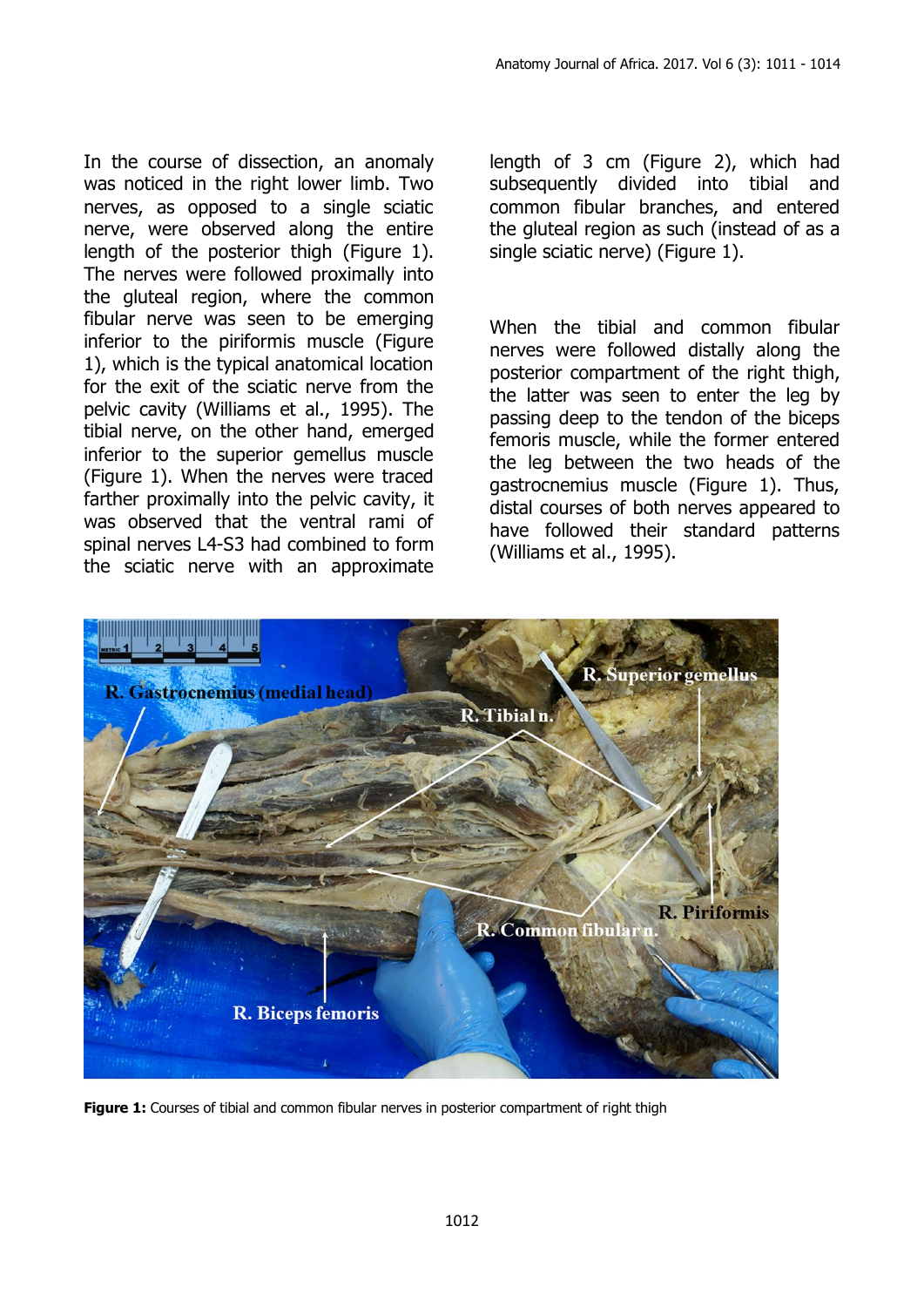In the course of dissection, an anomaly was noticed in the right lower limb. Two nerves, as opposed to a single sciatic nerve, were observed along the entire length of the posterior thigh (Figure 1). The nerves were followed proximally into the gluteal region, where the common fibular nerve was seen to be emerging inferior to the piriformis muscle (Figure 1), which is the typical anatomical location for the exit of the sciatic nerve from the pelvic cavity (Williams et al., 1995). The tibial nerve, on the other hand, emerged inferior to the superior gemellus muscle (Figure 1). When the nerves were traced farther proximally into the pelvic cavity, it was observed that the ventral rami of spinal nerves L4-S3 had combined to form the sciatic nerve with an approximate

length of 3 cm (Figure 2), which had subsequently divided into tibial and common fibular branches, and entered the gluteal region as such (instead of as a single sciatic nerve) (Figure 1).

When the tibial and common fibular nerves were followed distally along the posterior compartment of the right thigh, the latter was seen to enter the leg by passing deep to the tendon of the biceps femoris muscle, while the former entered the leg between the two heads of the gastrocnemius muscle (Figure 1). Thus, distal courses of both nerves appeared to have followed their standard patterns (Williams et al., 1995).



**Figure 1:** Courses of tibial and common fibular nerves in posterior compartment of right thigh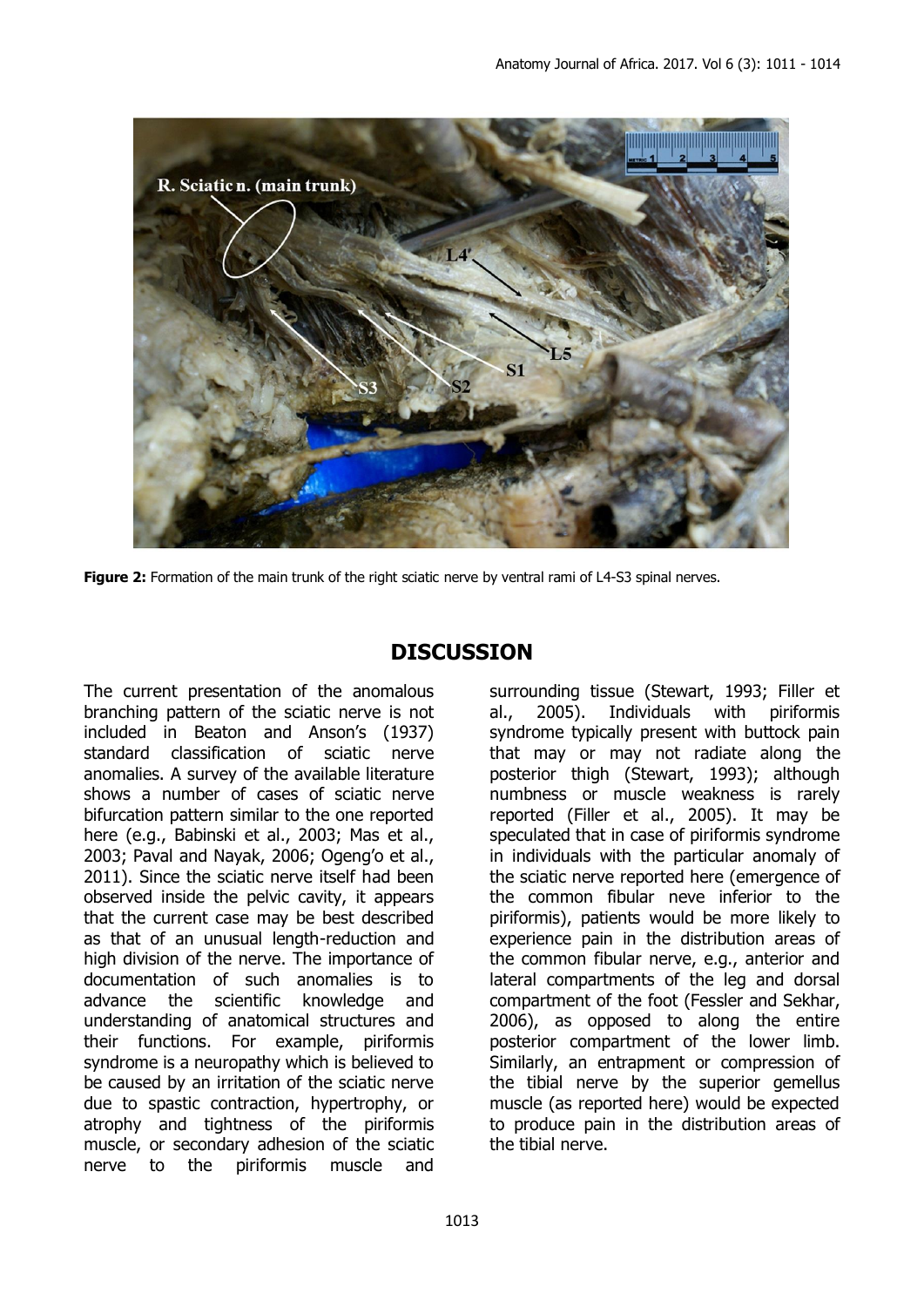

**Figure 2:** Formation of the main trunk of the right sciatic nerve by ventral rami of L4-S3 spinal nerves.

## **DISCUSSION**

The current presentation of the anomalous branching pattern of the sciatic nerve is not included in Beaton and Anson's (1937) standard classification of sciatic nerve anomalies. A survey of the available literature shows a number of cases of sciatic nerve bifurcation pattern similar to the one reported here (e.g., Babinski et al., 2003; Mas et al., 2003; Paval and Nayak, 2006; Ogeng'o et al., 2011). Since the sciatic nerve itself had been observed inside the pelvic cavity, it appears that the current case may be best described as that of an unusual length-reduction and high division of the nerve. The importance of documentation of such anomalies is to advance the scientific knowledge and understanding of anatomical structures and their functions. For example, piriformis syndrome is a neuropathy which is believed to be caused by an irritation of the sciatic nerve due to spastic contraction, hypertrophy, or atrophy and tightness of the piriformis muscle, or secondary adhesion of the sciatic nerve to the piriformis muscle and

surrounding tissue (Stewart, 1993; Filler et al., 2005). Individuals with piriformis syndrome typically present with buttock pain that may or may not radiate along the posterior thigh (Stewart, 1993); although numbness or muscle weakness is rarely reported (Filler et al., 2005). It may be speculated that in case of piriformis syndrome in individuals with the particular anomaly of the sciatic nerve reported here (emergence of the common fibular neve inferior to the piriformis), patients would be more likely to experience pain in the distribution areas of the common fibular nerve, e.g., anterior and lateral compartments of the leg and dorsal compartment of the foot (Fessler and Sekhar, 2006), as opposed to along the entire posterior compartment of the lower limb. Similarly, an entrapment or compression of the tibial nerve by the superior gemellus muscle (as reported here) would be expected to produce pain in the distribution areas of the tibial nerve.